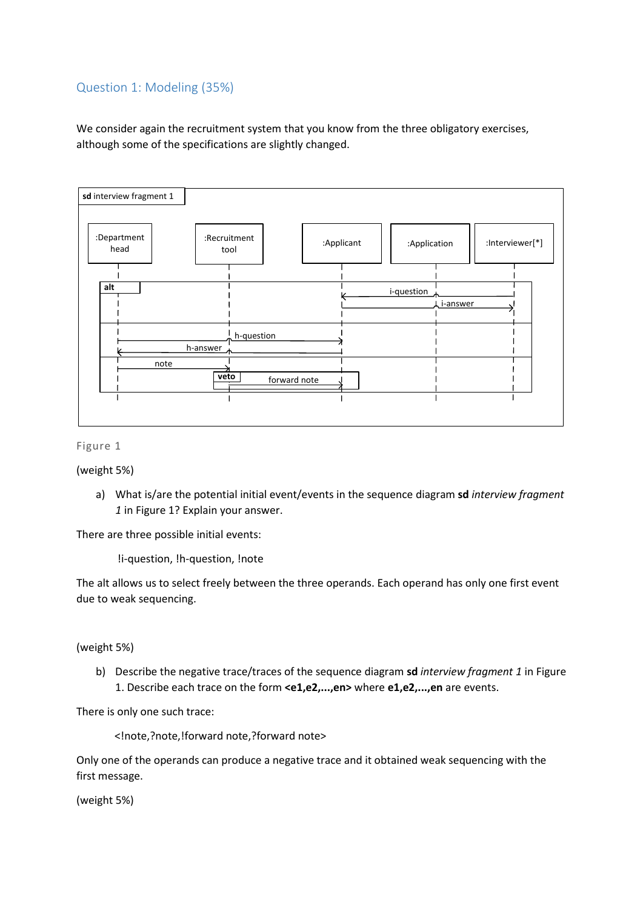# Question 1: Modeling (35%)

We consider again the recruitment system that you know from the three obligatory exercises, although some of the specifications are slightly changed.



#### Figure 1

(weight 5%)

a) What is/are the potential initial event/events in the sequence diagram **sd** *interview fragment 1* in Figure 1? Explain your answer.

There are three possible initial events:

!i-question, !h-question, !note

The alt allows us to select freely between the three operands. Each operand has only one first event due to weak sequencing.

### (weight 5%)

b) Describe the negative trace/traces of the sequence diagram **sd** *interview fragment 1* in Figure 1. Describe each trace on the form **<e1,e2,...,en>** where **e1,e2,...,en** are events.

There is only one such trace:

<!note,?note,!forward note,?forward note>

Only one of the operands can produce a negative trace and it obtained weak sequencing with the first message.

(weight 5%)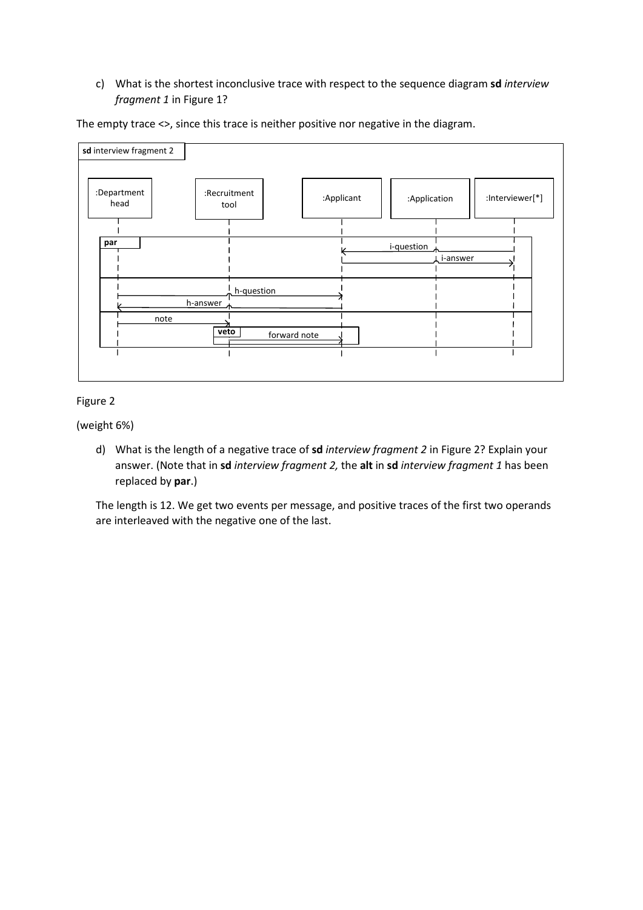# c) What is the shortest inconclusive trace with respect to the sequence diagram **sd** *interview fragment 1* in Figure 1?

The empty trace <>, since this trace is neither positive nor negative in the diagram.



## Figure 2

(weight 6%)

d) What is the length of a negative trace of **sd** *interview fragment 2* in Figure 2? Explain your answer. (Note that in **sd** *interview fragment 2,* the **alt** in **sd** *interview fragment 1* has been replaced by **par**.)

The length is 12. We get two events per message, and positive traces of the first two operands are interleaved with the negative one of the last.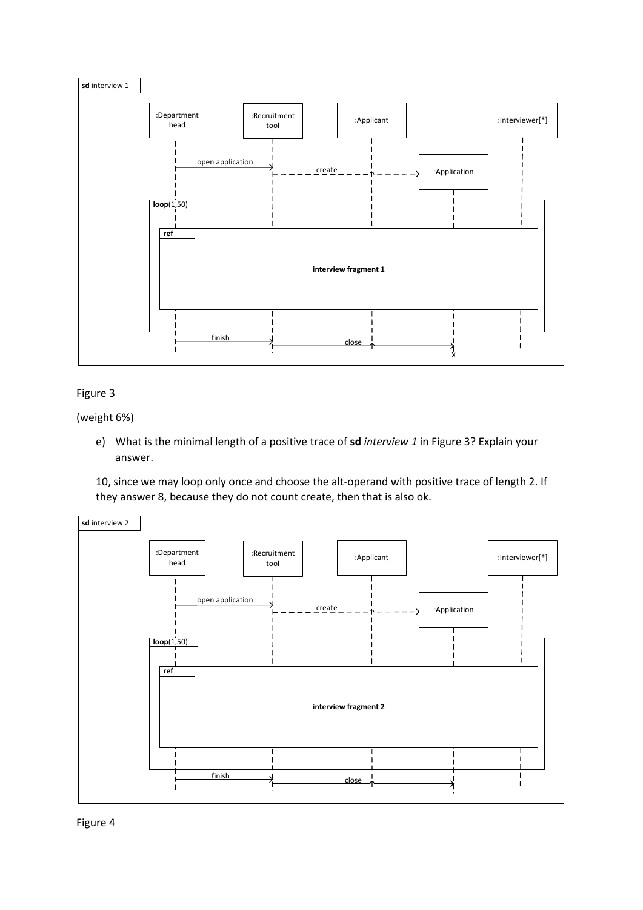

## Figure 3

(weight 6%)

e) What is the minimal length of a positive trace of **sd** *interview 1* in Figure 3? Explain your answer.

10, since we may loop only once and choose the alt-operand with positive trace of length 2. If they answer 8, because they do not count create, then that is also ok.



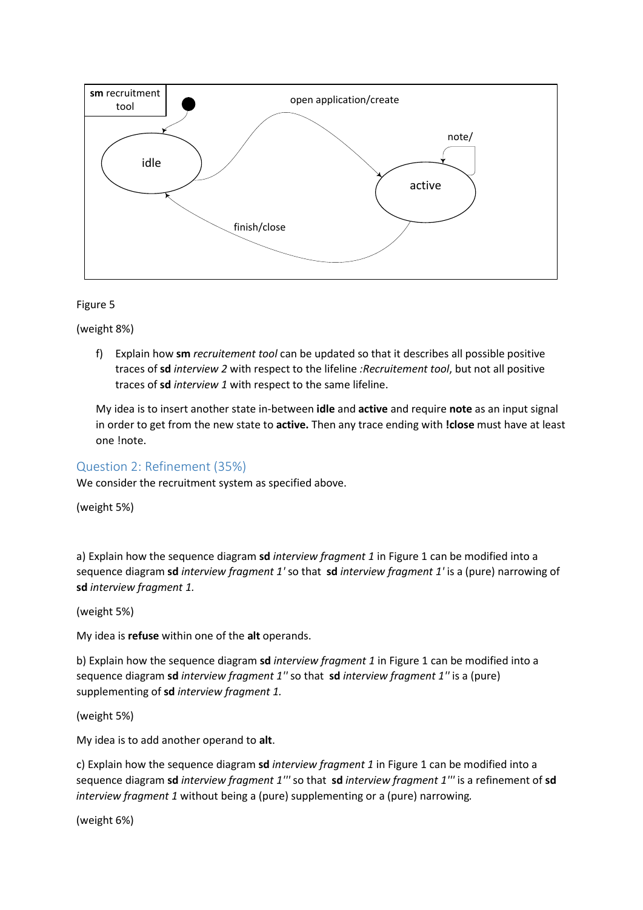

Figure 5

(weight 8%)

f) Explain how **sm** *recruitement tool* can be updated so that it describes all possible positive traces of **sd** *interview 2* with respect to the lifeline *:Recruitement tool*, but not all positive traces of **sd** *interview 1* with respect to the same lifeline.

My idea is to insert another state in-between **idle** and **active** and require **note** as an input signal in order to get from the new state to **active.** Then any trace ending with **!close** must have at least one !note.

# Question 2: Refinement (35%)

We consider the recruitment system as specified above.

(weight 5%)

a) Explain how the sequence diagram **sd** *interview fragment 1* in Figure 1 can be modified into a sequence diagram **sd** *interview fragment 1'* so that **sd** *interview fragment 1'* is a (pure) narrowing of **sd** *interview fragment 1.*

(weight 5%)

My idea is **refuse** within one of the **alt** operands.

b) Explain how the sequence diagram **sd** *interview fragment 1* in Figure 1 can be modified into a sequence diagram **sd** *interview fragment 1''* so that **sd** *interview fragment 1''* is a (pure) supplementing of **sd** *interview fragment 1.*

(weight 5%)

My idea is to add another operand to **alt**.

c) Explain how the sequence diagram **sd** *interview fragment 1* in Figure 1 can be modified into a sequence diagram **sd** *interview fragment 1'''* so that **sd** *interview fragment 1'''* is a refinement of **sd** *interview fragment 1* without being a (pure) supplementing or a (pure) narrowing*.*

(weight 6%)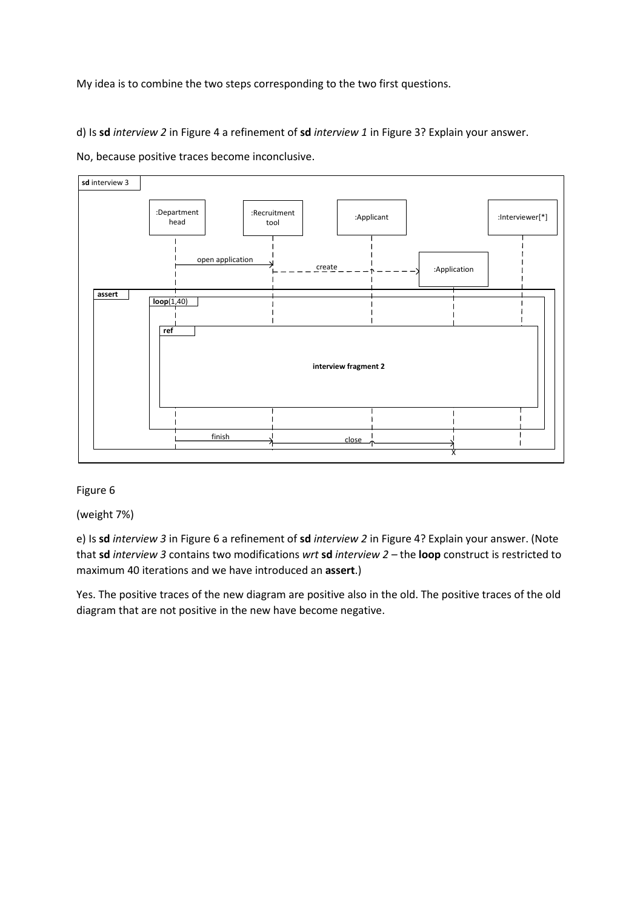My idea is to combine the two steps corresponding to the two first questions.

d) Is **sd** *interview 2* in Figure 4 a refinement of **sd** *interview 1* in Figure 3? Explain your answer.





#### Figure 6

(weight 7%)

e) Is **sd** *interview 3* in Figure 6 a refinement of **sd** *interview 2* in Figure 4? Explain your answer. (Note that **sd** *interview 3* contains two modifications *wrt* **sd** *interview 2 –* the **loop** construct is restricted to maximum 40 iterations and we have introduced an **assert**.)

Yes. The positive traces of the new diagram are positive also in the old. The positive traces of the old diagram that are not positive in the new have become negative.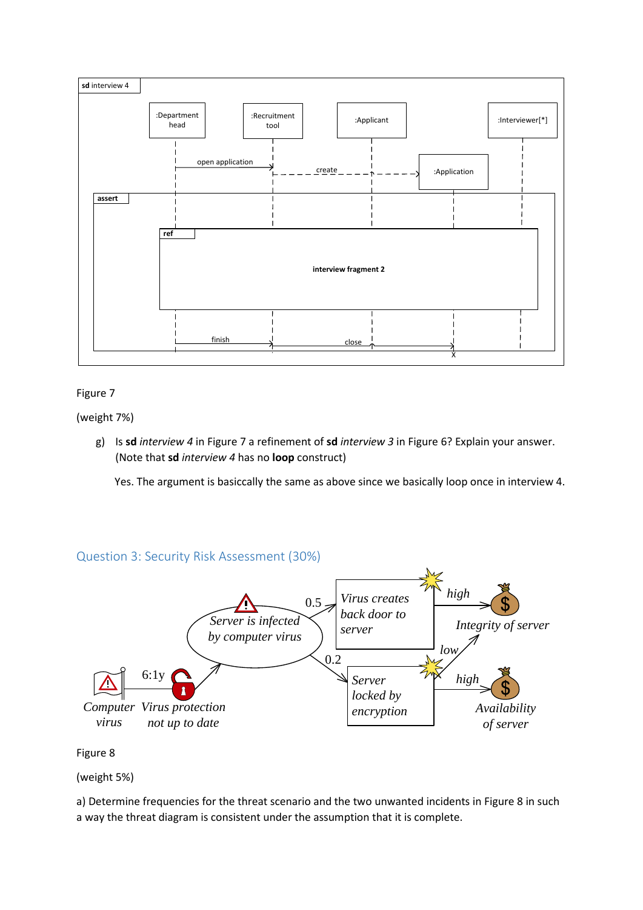

## Figure 7

(weight 7%)

g) Is **sd** *interview 4* in Figure 7 a refinement of **sd** *interview 3* in Figure 6? Explain your answer. (Note that **sd** *interview 4* has no **loop** construct)

Yes. The argument is basiccally the same as above since we basically loop once in interview 4.

# Question 3: Security Risk Assessment (30%)



### Figure 8

(weight 5%)

a) Determine frequencies for the threat scenario and the two unwanted incidents in Figure 8 in such a way the threat diagram is consistent under the assumption that it is complete.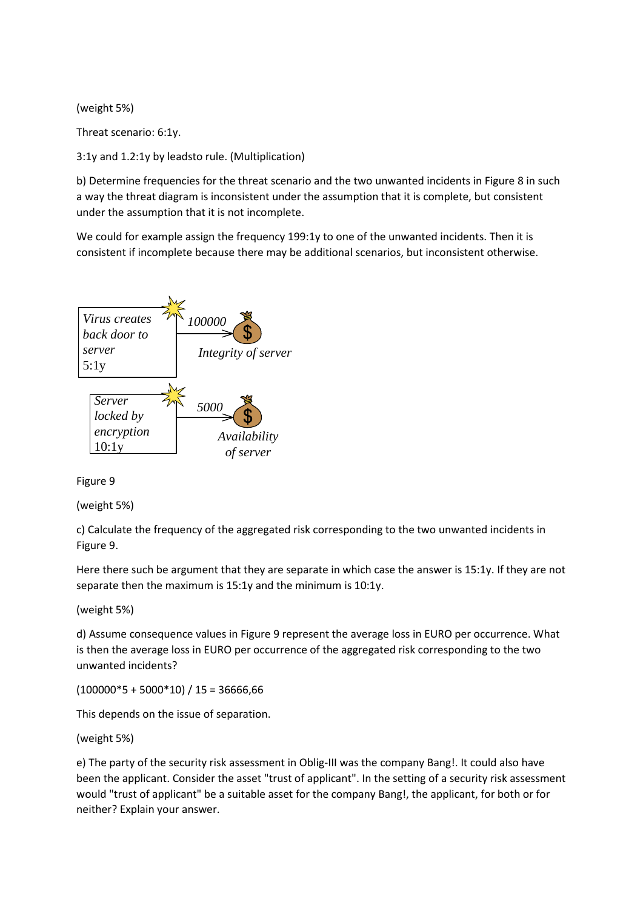(weight 5%)

Threat scenario: 6:1y.

3:1y and 1.2:1y by leadsto rule. (Multiplication)

b) Determine frequencies for the threat scenario and the two unwanted incidents in Figure 8 in such a way the threat diagram is inconsistent under the assumption that it is complete, but consistent under the assumption that it is not incomplete.

We could for example assign the frequency 199:1y to one of the unwanted incidents. Then it is consistent if incomplete because there may be additional scenarios, but inconsistent otherwise.



Figure 9

(weight 5%)

c) Calculate the frequency of the aggregated risk corresponding to the two unwanted incidents in Figure 9.

Here there such be argument that they are separate in which case the answer is 15:1y. If they are not separate then the maximum is 15:1y and the minimum is 10:1y.

(weight 5%)

d) Assume consequence values in Figure 9 represent the average loss in EURO per occurrence. What is then the average loss in EURO per occurrence of the aggregated risk corresponding to the two unwanted incidents?

 $(100000*5+5000*10)/15=36666,66$ 

This depends on the issue of separation.

(weight 5%)

e) The party of the security risk assessment in Oblig-III was the company Bang!. It could also have been the applicant. Consider the asset "trust of applicant". In the setting of a security risk assessment would "trust of applicant" be a suitable asset for the company Bang!, the applicant, for both or for neither? Explain your answer.